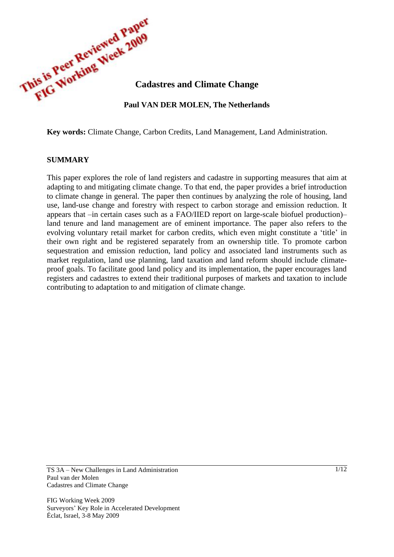

**Key words:** Climate Change, Carbon Credits, Land Management, Land Administration.

#### **SUMMARY**

This paper explores the role of land registers and cadastre in supporting measures that aim at adapting to and mitigating climate change. To that end, the paper provides a brief introduction to climate change in general. The paper then continues by analyzing the role of housing, land use, land-use change and forestry with respect to carbon storage and emission reduction. It appears that –in certain cases such as a FAO/IIED report on large-scale biofuel production)– land tenure and land management are of eminent importance. The paper also refers to the evolving voluntary retail market for carbon credits, which even might constitute a 'title' in their own right and be registered separately from an ownership title. To promote carbon sequestration and emission reduction, land policy and associated land instruments such as market regulation, land use planning, land taxation and land reform should include climateproof goals. To facilitate good land policy and its implementation, the paper encourages land registers and cadastres to extend their traditional purposes of markets and taxation to include contributing to adaptation to and mitigation of climate change.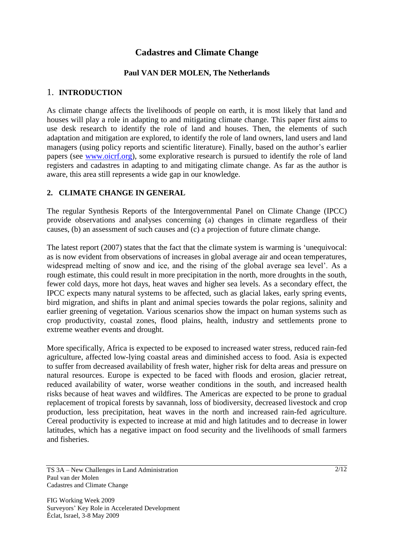# **Cadastres and Climate Change**

## **Paul VAN DER MOLEN, The Netherlands**

#### 1. **INTRODUCTION**

As climate change affects the livelihoods of people on earth, it is most likely that land and houses will play a role in adapting to and mitigating climate change. This paper first aims to use desk research to identify the role of land and houses. Then, the elements of such adaptation and mitigation are explored, to identify the role of land owners, land users and land managers (using policy reports and scientific literature). Finally, based on the author's earlier papers (see [www.oicrf.org\)](http://www.oicrf.org/), some explorative research is pursued to identify the role of land registers and cadastres in adapting to and mitigating climate change. As far as the author is aware, this area still represents a wide gap in our knowledge.

### **2. CLIMATE CHANGE IN GENERAL**

The regular Synthesis Reports of the Intergovernmental Panel on Climate Change (IPCC) provide observations and analyses concerning (a) changes in climate regardless of their causes, (b) an assessment of such causes and (c) a projection of future climate change.

The latest report (2007) states that the fact that the climate system is warming is 'unequivocal: as is now evident from observations of increases in global average air and ocean temperatures, widespread melting of snow and ice, and the rising of the global average sea level'. As a rough estimate, this could result in more precipitation in the north, more droughts in the south, fewer cold days, more hot days, heat waves and higher sea levels. As a secondary effect, the IPCC expects many natural systems to be affected, such as glacial lakes, early spring events, bird migration, and shifts in plant and animal species towards the polar regions, salinity and earlier greening of vegetation. Various scenarios show the impact on human systems such as crop productivity, coastal zones, flood plains, health, industry and settlements prone to extreme weather events and drought.

More specifically, Africa is expected to be exposed to increased water stress, reduced rain-fed agriculture, affected low-lying coastal areas and diminished access to food. Asia is expected to suffer from decreased availability of fresh water, higher risk for delta areas and pressure on natural resources. Europe is expected to be faced with floods and erosion, glacier retreat, reduced availability of water, worse weather conditions in the south, and increased health risks because of heat waves and wildfires. The Americas are expected to be prone to gradual replacement of tropical forests by savannah, loss of biodiversity, decreased livestock and crop production, less precipitation, heat waves in the north and increased rain-fed agriculture. Cereal productivity is expected to increase at mid and high latitudes and to decrease in lower latitudes, which has a negative impact on food security and the livelihoods of small farmers and fisheries.

TS 3A – New Challenges in Land Administration Paul van der Molen Cadastres and Climate Change

FIG Working Week 2009 Surveyors' Key Role in Accelerated Development Éclat, Israel, 3-8 May 2009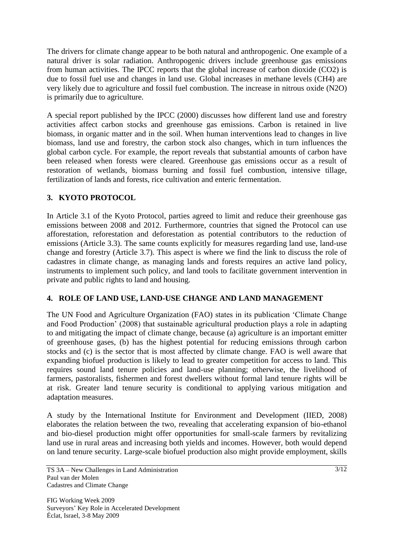The drivers for climate change appear to be both natural and anthropogenic. One example of a natural driver is solar radiation. Anthropogenic drivers include greenhouse gas emissions from human activities. The IPCC reports that the global increase of carbon dioxide (CO2) is due to fossil fuel use and changes in land use. Global increases in methane levels (CH4) are very likely due to agriculture and fossil fuel combustion. The increase in nitrous oxide (N2O) is primarily due to agriculture.

A special report published by the IPCC (2000) discusses how different land use and forestry activities affect carbon stocks and greenhouse gas emissions. Carbon is retained in live biomass, in organic matter and in the soil. When human interventions lead to changes in live biomass, land use and forestry, the carbon stock also changes, which in turn influences the global carbon cycle. For example, the report reveals that substantial amounts of carbon have been released when forests were cleared. Greenhouse gas emissions occur as a result of restoration of wetlands, biomass burning and fossil fuel combustion, intensive tillage, fertilization of lands and forests, rice cultivation and enteric fermentation.

## **3. KYOTO PROTOCOL**

In Article 3.1 of the Kyoto Protocol, parties agreed to limit and reduce their greenhouse gas emissions between 2008 and 2012. Furthermore, countries that signed the Protocol can use afforestation, reforestation and deforestation as potential contributors to the reduction of emissions (Article 3.3). The same counts explicitly for measures regarding land use, land-use change and forestry (Article 3.7). This aspect is where we find the link to discuss the role of cadastres in climate change, as managing lands and forests requires an active land policy, instruments to implement such policy, and land tools to facilitate government intervention in private and public rights to land and housing.

## **4. ROLE OF LAND USE, LAND-USE CHANGE AND LAND MANAGEMENT**

The UN Food and Agriculture Organization (FAO) states in its publication 'Climate Change and Food Production' (2008) that sustainable agricultural production plays a role in adapting to and mitigating the impact of climate change, because (a) agriculture is an important emitter of greenhouse gases, (b) has the highest potential for reducing emissions through carbon stocks and (c) is the sector that is most affected by climate change. FAO is well aware that expanding biofuel production is likely to lead to greater competition for access to land. This requires sound land tenure policies and land-use planning; otherwise, the livelihood of farmers, pastoralists, fishermen and forest dwellers without formal land tenure rights will be at risk. Greater land tenure security is conditional to applying various mitigation and adaptation measures.

A study by the International Institute for Environment and Development (IIED, 2008) elaborates the relation between the two, revealing that accelerating expansion of bio-ethanol and bio-diesel production might offer opportunities for small-scale farmers by revitalizing land use in rural areas and increasing both yields and incomes. However, both would depend on land tenure security. Large-scale biofuel production also might provide employment, skills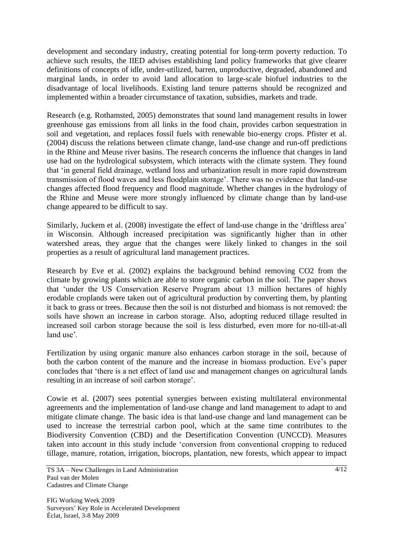development and secondary industry, creating potential for long-term poverty reduction. To achieve such results, the IIED advises establishing land policy frameworks that give clearer definitions of concepts of idle, under-utilized, barren, unproductive, degraded, abandoned and marginal lands, in order to avoid land allocation to large-scale biofuel industries to the disadvantage of local livelihoods. Existing land tenure patterns should be recognized and implemented within a broader circumstance of taxation, subsidies, markets and trade.

Research (e.g. Rothamsted, 2005) demonstrates that sound land management results in lower greenhouse gas emissions from all links in the food chain, provides carbon sequestration in soil and vegetation, and replaces fossil fuels with renewable bio-energy crops. Pfister et al. (2004) discuss the relations between climate change, land-use change and run-off predictions in the Rhine and Meuse river basins. The research concerns the influence that changes in land use had on the hydrological subsystem, which interacts with the climate system. They found that 'in general field drainage, wetland loss and urbanization result in more rapid downstream transmission of flood waves and less floodplain storage'. There was no evidence that land-use changes affected flood frequency and flood magnitude. Whether changes in the hydrology of the Rhine and Meuse were more strongly influenced by climate change than by land-use change appeared to be difficult to say.

Similarly, Juckem et al. (2008) investigate the effect of land-use change in the 'driftless area' in Wisconsin. Although increased precipitation was significantly higher than in other watershed areas, they argue that the changes were likely linked to changes in the soil properties as a result of agricultural land management practices.

Research by Eve et al. (2002) explains the background behind removing CO2 from the climate by growing plants which are able to store organic carbon in the soil. The paper shows that 'under the US Conservation Reserve Program about 13 million hectares of highly erodable croplands were taken out of agricultural production by converting them, by planting it back to grass or trees. Because then the soil is not disturbed and biomass is not removed: the soils have shown an increase in carbon storage. Also, adopting reduced tillage resulted in increased soil carbon storage because the soil is less disturbed, even more for no-till-at-all land use'

Fertilization by using organic manure also enhances carbon storage in the soil, because of both the carbon content of the manure and the increase in biomass production. Eve's paper concludes that 'there is a net effect of land use and management changes on agricultural lands resulting in an increase of soil carbon storage'.

Cowie et al. (2007) sees potential synergies between existing multilateral environmental agreements and the implementation of land-use change and land management to adapt to and mitigate climate change. The basic idea is that land-use change and land management can be used to increase the terrestrial carbon pool, which at the same time contributes to the Biodiversity Convention (CBD) and the Desertification Convention (UNCCD). Measures taken into account in this study include 'conversion from conventional cropping to reduced tillage, manure, rotation, irrigation, biocrops, plantation, new forests, which appear to impact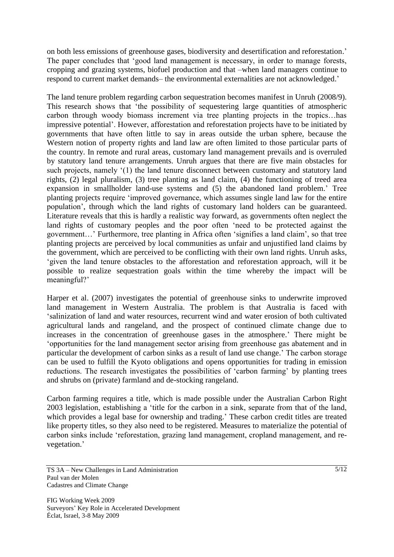on both less emissions of greenhouse gases, biodiversity and desertification and reforestation.' The paper concludes that 'good land management is necessary, in order to manage forests, cropping and grazing systems, biofuel production and that –when land managers continue to respond to current market demands– the environmental externalities are not acknowledged.'

The land tenure problem regarding carbon sequestration becomes manifest in Unruh (2008/9). This research shows that 'the possibility of sequestering large quantities of atmospheric carbon through woody biomass increment via tree planting projects in the tropics…has impressive potential'. However, afforestation and reforestation projects have to be initiated by governments that have often little to say in areas outside the urban sphere, because the Western notion of property rights and land law are often limited to those particular parts of the country. In remote and rural areas, customary land management prevails and is overruled by statutory land tenure arrangements. Unruh argues that there are five main obstacles for such projects, namely '(1) the land tenure disconnect between customary and statutory land rights, (2) legal pluralism, (3) tree planting as land claim, (4) the functioning of treed area expansion in smallholder land-use systems and (5) the abandoned land problem.' Tree planting projects require 'improved governance, which assumes single land law for the entire population', through which the land rights of customary land holders can be guaranteed. Literature reveals that this is hardly a realistic way forward, as governments often neglect the land rights of customary peoples and the poor often 'need to be protected against the government…' Furthermore, tree planting in Africa often 'signifies a land claim', so that tree planting projects are perceived by local communities as unfair and unjustified land claims by the government, which are perceived to be conflicting with their own land rights. Unruh asks, 'given the land tenure obstacles to the afforestation and reforestation approach, will it be possible to realize sequestration goals within the time whereby the impact will be meaningful?'

Harper et al. (2007) investigates the potential of greenhouse sinks to underwrite improved land management in Western Australia. The problem is that Australia is faced with 'salinization of land and water resources, recurrent wind and water erosion of both cultivated agricultural lands and rangeland, and the prospect of continued climate change due to increases in the concentration of greenhouse gases in the atmosphere.' There might be 'opportunities for the land management sector arising from greenhouse gas abatement and in particular the development of carbon sinks as a result of land use change.' The carbon storage can be used to fulfill the Kyoto obligations and opens opportunities for trading in emission reductions. The research investigates the possibilities of 'carbon farming' by planting trees and shrubs on (private) farmland and de-stocking rangeland.

Carbon farming requires a title, which is made possible under the Australian Carbon Right 2003 legislation, establishing a 'title for the carbon in a sink, separate from that of the land, which provides a legal base for ownership and trading.' These carbon credit titles are treated like property titles, so they also need to be registered. Measures to materialize the potential of carbon sinks include 'reforestation, grazing land management, cropland management, and revegetation.'

TS 3A – New Challenges in Land Administration Paul van der Molen Cadastres and Climate Change

FIG Working Week 2009 Surveyors' Key Role in Accelerated Development Éclat, Israel, 3-8 May 2009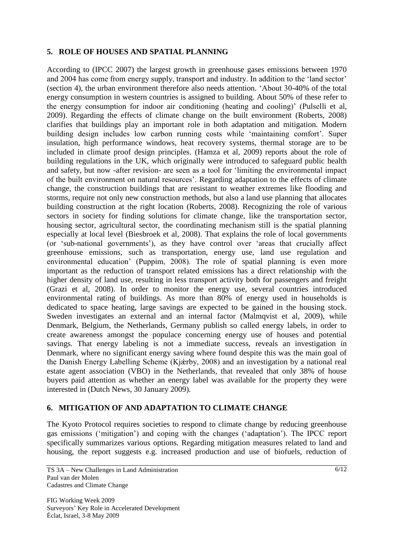## **5. ROLE OF HOUSES AND SPATIAL PLANNING**

According to (IPCC 2007) the largest growth in greenhouse gases emissions between 1970 and 2004 has come from energy supply, transport and industry. In addition to the 'land sector' (section 4), the urban environment therefore also needs attention. 'About 30-40% of the total energy consumption in western countries is assigned to building. About 50% of these refer to the energy consumption for indoor air conditioning (heating and cooling)' (Pulselli et al, 2009). Regarding the effects of climate change on the built environment (Roberts, 2008) clarifies that buildings play an important role in both adaptation and mitigation. Modern building design includes low carbon running costs while 'maintaining comfort'. Super insulation, high performance windows, heat recovery systems, thermal storage are to be included in climate proof design principles. (Hamza et al, 2009) reports about the role of building regulations in the UK, which originally were introduced to safeguard public health and safety, but now -after revision- are seen as a tool for 'limiting the environmental impact of the built environment on natural resources'. Regarding adaptation to the effects of climate change, the construction buildings that are resistant to weather extremes like flooding and storms, require not only new construction methods, but also a land use planning that allocates building construction at the right location (Roberts, 2008). Recognizing the role of various sectors in society for finding solutions for climate change, like the transportation sector, housing sector, agricultural sector, the coordinating mechanism still is the spatial planning especially at local level (Biesbroek et al, 2008). That explains the role of local governments (or 'sub-national governments'), as they have control over 'areas that crucially affect greenhouse emissions, such as transportation, energy use, land use regulation and environmental education' (Puppim, 2008). The role of spatial planning is even more important as the reduction of transport related emissions has a direct relationship with the higher density of land use, resulting in less transport activity both for passengers and freight (Grazi et al, 2008). In order to monitor the energy use, several countries introduced environmental rating of buildings. As more than 80% of energy used in households is dedicated to space heating, large savings are expected to be gained in the housing stock. Sweden investigates an external and an internal factor (Malmqvist et al, 2009), while Denmark, Belgium, the Netherlands, Germany publish so called energy labels, in order to create awareness amongst the populace concerning energy use of houses and potential savings. That energy labeling is not a immediate success, reveals an investigation in Denmark, where no significant energy saving where found despite this was the main goal of the Danish Energy Labelling Scheme (Kjǽrby, 2008) and an investigation by a national real estate agent association (VBO) in the Netherlands, that revealed that only 38% of house buyers paid attention as whether an energy label was available for the property they were interested in (Dutch News, 30 January 2009).

## **6. MITIGATION OF AND ADAPTATION TO CLIMATE CHANGE**

The Kyoto Protocol requires societies to respond to climate change by reducing greenhouse gas emissions ('mitigation') and coping with the changes ('adaptation'). The IPCC report specifically summarizes various options. Regarding mitigation measures related to land and housing, the report suggests e.g. increased production and use of biofuels, reduction of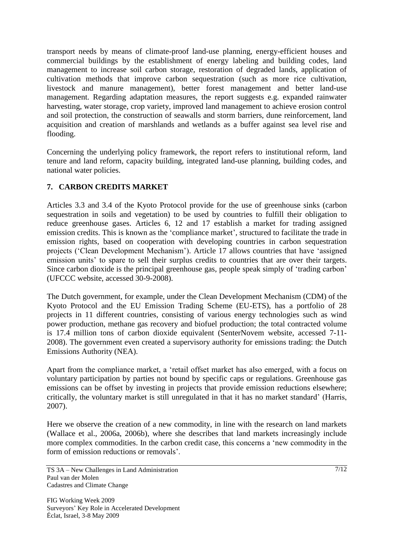transport needs by means of climate-proof land-use planning, energy-efficient houses and commercial buildings by the establishment of energy labeling and building codes, land management to increase soil carbon storage, restoration of degraded lands, application of cultivation methods that improve carbon sequestration (such as more rice cultivation, livestock and manure management), better forest management and better land-use management. Regarding adaptation measures, the report suggests e.g. expanded rainwater harvesting, water storage, crop variety, improved land management to achieve erosion control and soil protection, the construction of seawalls and storm barriers, dune reinforcement, land acquisition and creation of marshlands and wetlands as a buffer against sea level rise and flooding.

Concerning the underlying policy framework, the report refers to institutional reform, land tenure and land reform, capacity building, integrated land-use planning, building codes, and national water policies.

## **7. CARBON CREDITS MARKET**

Articles 3.3 and 3.4 of the Kyoto Protocol provide for the use of greenhouse sinks (carbon sequestration in soils and vegetation) to be used by countries to fulfill their obligation to reduce greenhouse gases. Articles 6, 12 and 17 establish a market for trading assigned emission credits. This is known as the 'compliance market', structured to facilitate the trade in emission rights, based on cooperation with developing countries in carbon sequestration projects ('Clean Development Mechanism'). Article 17 allows countries that have 'assigned emission units' to spare to sell their surplus credits to countries that are over their targets. Since carbon dioxide is the principal greenhouse gas, people speak simply of 'trading carbon' (UFCCC website, accessed 30-9-2008).

The Dutch government, for example, under the Clean Development Mechanism (CDM) of the Kyoto Protocol and the EU Emission Trading Scheme (EU-ETS), has a portfolio of 28 projects in 11 different countries, consisting of various energy technologies such as wind power production, methane gas recovery and biofuel production; the total contracted volume is 17.4 million tons of carbon dioxide equivalent (SenterNovem website, accessed 7-11- 2008). The government even created a supervisory authority for emissions trading: the Dutch Emissions Authority (NEA).

Apart from the compliance market, a 'retail offset market has also emerged, with a focus on voluntary participation by parties not bound by specific caps or regulations. Greenhouse gas emissions can be offset by investing in projects that provide emission reductions elsewhere; critically, the voluntary market is still unregulated in that it has no market standard' (Harris, 2007).

Here we observe the creation of a new commodity, in line with the research on land markets (Wallace et al., 2006a, 2006b), where she describes that land markets increasingly include more complex commodities. In the carbon credit case, this concerns a 'new commodity in the form of emission reductions or removals'.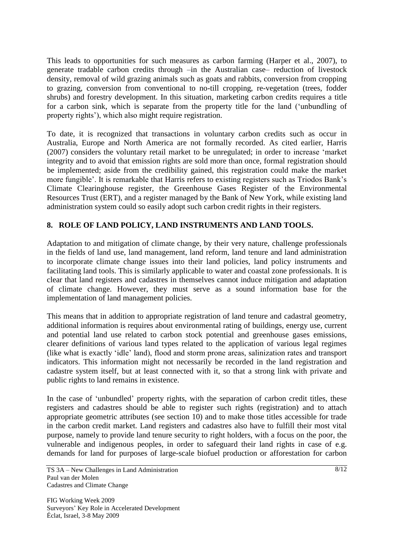This leads to opportunities for such measures as carbon farming (Harper et al., 2007), to generate tradable carbon credits through –in the Australian case– reduction of livestock density, removal of wild grazing animals such as goats and rabbits, conversion from cropping to grazing, conversion from conventional to no-till cropping, re-vegetation (trees, fodder shrubs) and forestry development. In this situation, marketing carbon credits requires a title for a carbon sink, which is separate from the property title for the land ('unbundling of property rights'), which also might require registration.

To date, it is recognized that transactions in voluntary carbon credits such as occur in Australia, Europe and North America are not formally recorded. As cited earlier, Harris (2007) considers the voluntary retail market to be unregulated; in order to increase 'market integrity and to avoid that emission rights are sold more than once, formal registration should be implemented; aside from the credibility gained, this registration could make the market more fungible'. It is remarkable that Harris refers to existing registers such as Triodos Bank's Climate Clearinghouse register, the Greenhouse Gases Register of the Environmental Resources Trust (ERT), and a register managed by the Bank of New York, while existing land administration system could so easily adopt such carbon credit rights in their registers.

## **8. ROLE OF LAND POLICY, LAND INSTRUMENTS AND LAND TOOLS.**

Adaptation to and mitigation of climate change, by their very nature, challenge professionals in the fields of land use, land management, land reform, land tenure and land administration to incorporate climate change issues into their land policies, land policy instruments and facilitating land tools. This is similarly applicable to water and coastal zone professionals. It is clear that land registers and cadastres in themselves cannot induce mitigation and adaptation of climate change. However, they must serve as a sound information base for the implementation of land management policies.

This means that in addition to appropriate registration of land tenure and cadastral geometry, additional information is requires about environmental rating of buildings, energy use, current and potential land use related to carbon stock potential and greenhouse gases emissions, clearer definitions of various land types related to the application of various legal regimes (like what is exactly 'idle' land), flood and storm prone areas, salinization rates and transport indicators. This information might not necessarily be recorded in the land registration and cadastre system itself, but at least connected with it, so that a strong link with private and public rights to land remains in existence.

In the case of 'unbundled' property rights, with the separation of carbon credit titles, these registers and cadastres should be able to register such rights (registration) and to attach appropriate geometric attributes (see section 10) and to make those titles accessible for trade in the carbon credit market. Land registers and cadastres also have to fulfill their most vital purpose, namely to provide land tenure security to right holders, with a focus on the poor, the vulnerable and indigenous peoples, in order to safeguard their land rights in case of e.g. demands for land for purposes of large-scale biofuel production or afforestation for carbon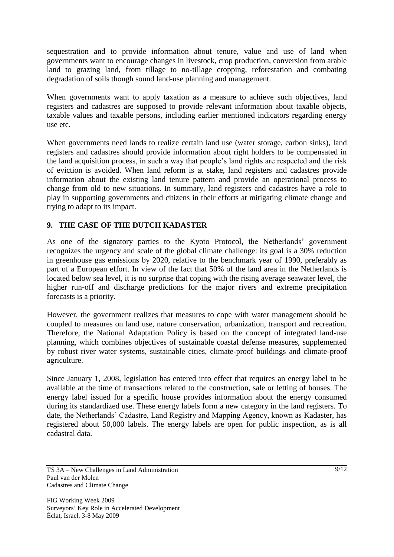sequestration and to provide information about tenure, value and use of land when governments want to encourage changes in livestock, crop production, conversion from arable land to grazing land, from tillage to no-tillage cropping, reforestation and combating degradation of soils though sound land-use planning and management.

When governments want to apply taxation as a measure to achieve such objectives, land registers and cadastres are supposed to provide relevant information about taxable objects, taxable values and taxable persons, including earlier mentioned indicators regarding energy use etc.

When governments need lands to realize certain land use (water storage, carbon sinks), land registers and cadastres should provide information about right holders to be compensated in the land acquisition process, in such a way that people's land rights are respected and the risk of eviction is avoided. When land reform is at stake, land registers and cadastres provide information about the existing land tenure pattern and provide an operational process to change from old to new situations. In summary, land registers and cadastres have a role to play in supporting governments and citizens in their efforts at mitigating climate change and trying to adapt to its impact.

## **9. THE CASE OF THE DUTCH KADASTER**

As one of the signatory parties to the Kyoto Protocol, the Netherlands' government recognizes the urgency and scale of the global climate challenge: its goal is a 30% reduction in greenhouse gas emissions by 2020, relative to the benchmark year of 1990, preferably as part of a European effort. In view of the fact that 50% of the land area in the Netherlands is located below sea level, it is no surprise that coping with the rising average seawater level, the higher run-off and discharge predictions for the major rivers and extreme precipitation forecasts is a priority.

However, the government realizes that measures to cope with water management should be coupled to measures on land use, nature conservation, urbanization, transport and recreation. Therefore, the National Adaptation Policy is based on the concept of integrated land-use planning, which combines objectives of sustainable coastal defense measures, supplemented by robust river water systems, sustainable cities, climate-proof buildings and climate-proof agriculture.

Since January 1, 2008, legislation has entered into effect that requires an energy label to be available at the time of transactions related to the construction, sale or letting of houses. The energy label issued for a specific house provides information about the energy consumed during its standardized use. These energy labels form a new category in the land registers. To date, the Netherlands' Cadastre, Land Registry and Mapping Agency, known as Kadaster, has registered about 50,000 labels. The energy labels are open for public inspection, as is all cadastral data.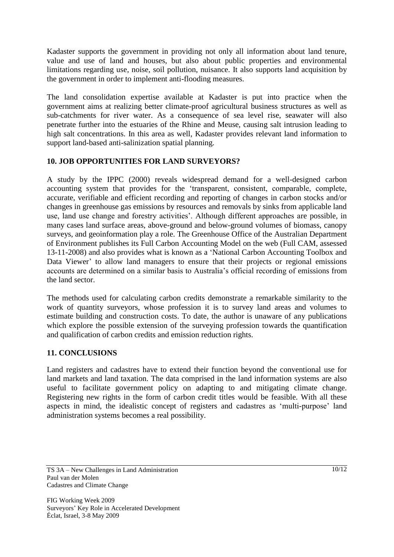Kadaster supports the government in providing not only all information about land tenure, value and use of land and houses, but also about public properties and environmental limitations regarding use, noise, soil pollution, nuisance. It also supports land acquisition by the government in order to implement anti-flooding measures.

The land consolidation expertise available at Kadaster is put into practice when the government aims at realizing better climate-proof agricultural business structures as well as sub-catchments for river water. As a consequence of sea level rise, seawater will also penetrate further into the estuaries of the Rhine and Meuse, causing salt intrusion leading to high salt concentrations. In this area as well, Kadaster provides relevant land information to support land-based anti-salinization spatial planning.

## **10. JOB OPPORTUNITIES FOR LAND SURVEYORS?**

A study by the IPPC (2000) reveals widespread demand for a well-designed carbon accounting system that provides for the 'transparent, consistent, comparable, complete, accurate, verifiable and efficient recording and reporting of changes in carbon stocks and/or changes in greenhouse gas emissions by resources and removals by sinks from applicable land use, land use change and forestry activities'. Although different approaches are possible, in many cases land surface areas, above-ground and below-ground volumes of biomass, canopy surveys, and geoinformation play a role. The Greenhouse Office of the Australian Department of Environment publishes its Full Carbon Accounting Model on the web (Full CAM, assessed 13-11-2008) and also provides what is known as a 'National Carbon Accounting Toolbox and Data Viewer' to allow land managers to ensure that their projects or regional emissions accounts are determined on a similar basis to Australia's official recording of emissions from the land sector.

The methods used for calculating carbon credits demonstrate a remarkable similarity to the work of quantity surveyors, whose profession it is to survey land areas and volumes to estimate building and construction costs. To date, the author is unaware of any publications which explore the possible extension of the surveying profession towards the quantification and qualification of carbon credits and emission reduction rights.

### **11. CONCLUSIONS**

Land registers and cadastres have to extend their function beyond the conventional use for land markets and land taxation. The data comprised in the land information systems are also useful to facilitate government policy on adapting to and mitigating climate change. Registering new rights in the form of carbon credit titles would be feasible. With all these aspects in mind, the idealistic concept of registers and cadastres as 'multi-purpose' land administration systems becomes a real possibility.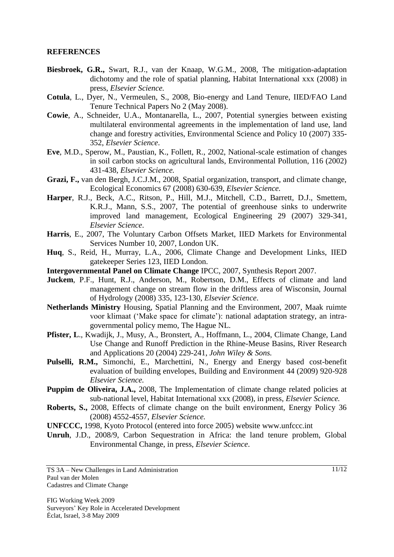#### **REFERENCES**

- **Biesbroek, G.R.,** Swart, R.J., van der Knaap, W.G.M., 2008, The mitigation-adaptation dichotomy and the role of spatial planning, Habitat International xxx (2008) in press, *Elsevier Science.*
- **Cotula**, L., Dyer, N., Vermeulen, S., 2008, Bio-energy and Land Tenure, IIED/FAO Land Tenure Technical Papers No 2 (May 2008).
- **Cowie**, A., Schneider, U.A., Montanarella, L., 2007, Potential synergies between existing multilateral environmental agreements in the implementation of land use, land change and forestry activities, Environmental Science and Policy 10 (2007) 335- 352, *Elsevier Science*.
- **Eve**, M.D., Sperow, M., Paustian, K., Follett, R., 2002, National-scale estimation of changes in soil carbon stocks on agricultural lands, Environmental Pollution, 116 (2002) 431-438, *Elsevier Science.*
- **Grazi, F.,** van den Bergh, J.C.J.M., 2008, Spatial organization, transport, and climate change, Ecological Economics 67 (2008) 630-639, *Elsevier Science.*
- **Harper**, R.J., Beck, A.C., Ritson, P., Hill, M.J., Mitchell, C.D., Barrett, D.J., Smettem, K.R.J., Mann, S.S., 2007, The potential of greenhouse sinks to underwrite improved land management, Ecological Engineering 29 (2007) 329-341, *Elsevier Science*.
- **Harris**, E., 2007, The Voluntary Carbon Offsets Market, IIED Markets for Environmental Services Number 10, 2007, London UK.
- **Huq**, S., Reid, H., Murray, L.A., 2006, Climate Change and Development Links, IIED gatekeeper Series 123, IIED London.
- **Intergovernmental Panel on Climate Change** IPCC, 2007, Synthesis Report 2007.
- Juckem, P.F., Hunt, R.J., Anderson, M., Robertson, D.M., Effects of climate and land management change on stream flow in the driftless area of Wisconsin, Journal of Hydrology (2008) 335, 123-130, *Elsevier Science*.
- **Netherlands Ministry** Housing, Spatial Planning and the Environment, 2007, Maak ruimte voor klimaat ('Make space for climate'): national adaptation strategy, an intragovernmental policy memo, The Hague NL.
- Pfister, L., Kwadijk, J., Musy, A., Bronstert, A., Hoffmann, L., 2004, Climate Change, Land Use Change and Runoff Prediction in the Rhine-Meuse Basins, River Research and Applications 20 (2004) 229-241, *John Wiley & Sons.*
- **Pulselli, R.M.,** Simonchi, E., Marchettini, N., Energy and Energy based cost-benefit evaluation of building envelopes, Building and Environment 44 (2009) 920-928 *Elsevier Science.*
- **Puppim de Oliveira, J.A.,** 2008, The Implementation of climate change related policies at sub-national level, Habitat International xxx (2008), in press, *Elsevier Science.*
- **Roberts, S.,** 2008, Effects of climate change on the built environment, Energy Policy 36 (2008) 4552-4557, *Elsevier Science.*
- **UNFCCC,** 1998, Kyoto Protocol (entered into force 2005) website www.unfccc.int
- **Unruh**, J.D., 2008/9, Carbon Sequestration in Africa: the land tenure problem, Global Environmental Change, in press, *Elsevier Science*.

TS 3A – New Challenges in Land Administration Paul van der Molen Cadastres and Climate Change